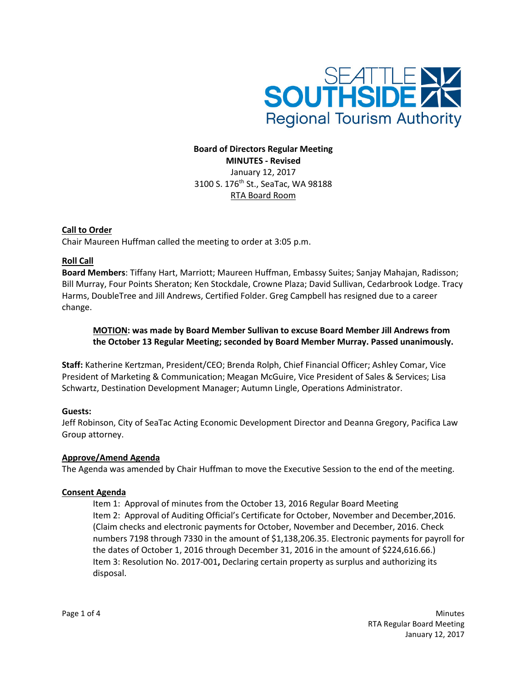

# **Board of Directors Regular Meeting MINUTES - Revised** January 12, 2017 3100 S. 176<sup>th</sup> St., SeaTac, WA 98188 RTA Board Room

### **Call to Order**

Chair Maureen Huffman called the meeting to order at 3:05 p.m.

# **Roll Call**

**Board Members**: Tiffany Hart, Marriott; Maureen Huffman, Embassy Suites; Sanjay Mahajan, Radisson; Bill Murray, Four Points Sheraton; Ken Stockdale, Crowne Plaza; David Sullivan, Cedarbrook Lodge. Tracy Harms, DoubleTree and Jill Andrews, Certified Folder. Greg Campbell has resigned due to a career change.

# **MOTION: was made by Board Member Sullivan to excuse Board Member Jill Andrews from the October 13 Regular Meeting; seconded by Board Member Murray. Passed unanimously.**

**Staff:** Katherine Kertzman, President/CEO; Brenda Rolph, Chief Financial Officer; Ashley Comar, Vice President of Marketing & Communication; Meagan McGuire, Vice President of Sales & Services; Lisa Schwartz, Destination Development Manager; Autumn Lingle, Operations Administrator.

# **Guests:**

Jeff Robinson, City of SeaTac Acting Economic Development Director and Deanna Gregory, Pacifica Law Group attorney.

### **Approve/Amend Agenda**

The Agenda was amended by Chair Huffman to move the Executive Session to the end of the meeting.

### **Consent Agenda**

Item 1: Approval of minutes from the October 13, 2016 Regular Board Meeting Item 2: Approval of Auditing Official's Certificate for October, November and December,2016. (Claim checks and electronic payments for October, November and December, 2016. Check numbers 7198 through 7330 in the amount of \$1,138,206.35. Electronic payments for payroll for the dates of October 1, 2016 through December 31, 2016 in the amount of \$224,616.66.) Item 3: Resolution No. 2017-001**,** Declaring certain property as surplus and authorizing its disposal.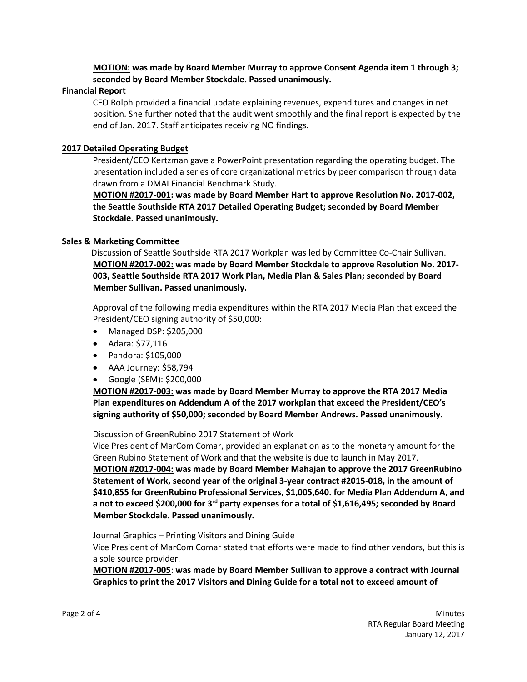**MOTION: was made by Board Member Murray to approve Consent Agenda item 1 through 3; seconded by Board Member Stockdale. Passed unanimously.**

### **Financial Report**

CFO Rolph provided a financial update explaining revenues, expenditures and changes in net position. She further noted that the audit went smoothly and the final report is expected by the end of Jan. 2017. Staff anticipates receiving NO findings.

### **2017 Detailed Operating Budget**

President/CEO Kertzman gave a PowerPoint presentation regarding the operating budget. The presentation included a series of core organizational metrics by peer comparison through data drawn from a DMAI Financial Benchmark Study.

**MOTION #2017-001: was made by Board Member Hart to approve Resolution No. 2017-002, the Seattle Southside RTA 2017 Detailed Operating Budget; seconded by Board Member Stockdale. Passed unanimously.**

### **Sales & Marketing Committee**

Discussion of Seattle Southside RTA 2017 Workplan was led by Committee Co-Chair Sullivan. **MOTION #2017-002: was made by Board Member Stockdale to approve Resolution No. 2017- 003, Seattle Southside RTA 2017 Work Plan, Media Plan & Sales Plan; seconded by Board Member Sullivan. Passed unanimously.**

Approval of the following media expenditures within the RTA 2017 Media Plan that exceed the President/CEO signing authority of \$50,000:

- Managed DSP: \$205,000
- Adara: \$77,116
- Pandora: \$105,000
- AAA Journey: \$58,794
- Google (SEM): \$200,000

**MOTION #2017-003: was made by Board Member Murray to approve the RTA 2017 Media Plan expenditures on Addendum A of the 2017 workplan that exceed the President/CEO's signing authority of \$50,000; seconded by Board Member Andrews. Passed unanimously.**

Discussion of GreenRubino 2017 Statement of Work

Vice President of MarCom Comar, provided an explanation as to the monetary amount for the Green Rubino Statement of Work and that the website is due to launch in May 2017.

**MOTION #2017-004: was made by Board Member Mahajan to approve the 2017 GreenRubino Statement of Work, second year of the original 3-year contract #2015-018, in the amount of \$410,855 for GreenRubino Professional Services, \$1,005,640. for Media Plan Addendum A, and a not to exceed \$200,000 for 3rd party expenses for a total of \$1,616,495; seconded by Board Member Stockdale. Passed unanimously.**

Journal Graphics – Printing Visitors and Dining Guide

Vice President of MarCom Comar stated that efforts were made to find other vendors, but this is a sole source provider.

**MOTION #2017-005**: **was made by Board Member Sullivan to approve a contract with Journal Graphics to print the 2017 Visitors and Dining Guide for a total not to exceed amount of**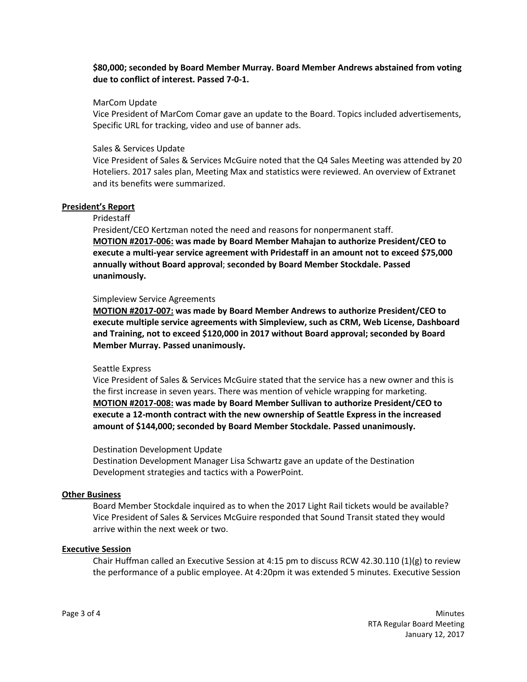## **\$80,000; seconded by Board Member Murray. Board Member Andrews abstained from voting due to conflict of interest. Passed 7-0-1.**

### MarCom Update

Vice President of MarCom Comar gave an update to the Board. Topics included advertisements, Specific URL for tracking, video and use of banner ads.

### Sales & Services Update

Vice President of Sales & Services McGuire noted that the Q4 Sales Meeting was attended by 20 Hoteliers. 2017 sales plan, Meeting Max and statistics were reviewed. An overview of Extranet and its benefits were summarized.

#### **President's Report**

### Pridestaff

President/CEO Kertzman noted the need and reasons for nonpermanent staff. **MOTION #2017-006: was made by Board Member Mahajan to authorize President/CEO to execute a multi-year service agreement with Pridestaff in an amount not to exceed \$75,000 annually without Board approval**; **seconded by Board Member Stockdale. Passed unanimously.**

#### Simpleview Service Agreements

**MOTION #2017-007: was made by Board Member Andrews to authorize President/CEO to execute multiple service agreements with Simpleview, such as CRM, Web License, Dashboard and Training, not to exceed \$120,000 in 2017 without Board approval; seconded by Board Member Murray. Passed unanimously.**

#### Seattle Express

Vice President of Sales & Services McGuire stated that the service has a new owner and this is the first increase in seven years. There was mention of vehicle wrapping for marketing. **MOTION #2017-008: was made by Board Member Sullivan to authorize President/CEO to execute a 12-month contract with the new ownership of Seattle Express in the increased amount of \$144,000; seconded by Board Member Stockdale. Passed unanimously.**

#### Destination Development Update

Destination Development Manager Lisa Schwartz gave an update of the Destination Development strategies and tactics with a PowerPoint.

#### **Other Business**

Board Member Stockdale inquired as to when the 2017 Light Rail tickets would be available? Vice President of Sales & Services McGuire responded that Sound Transit stated they would arrive within the next week or two.

### **Executive Session**

Chair Huffman called an Executive Session at 4:15 pm to discuss RCW 42.30.110 (1)(g) to review the performance of a public employee. At 4:20pm it was extended 5 minutes. Executive Session